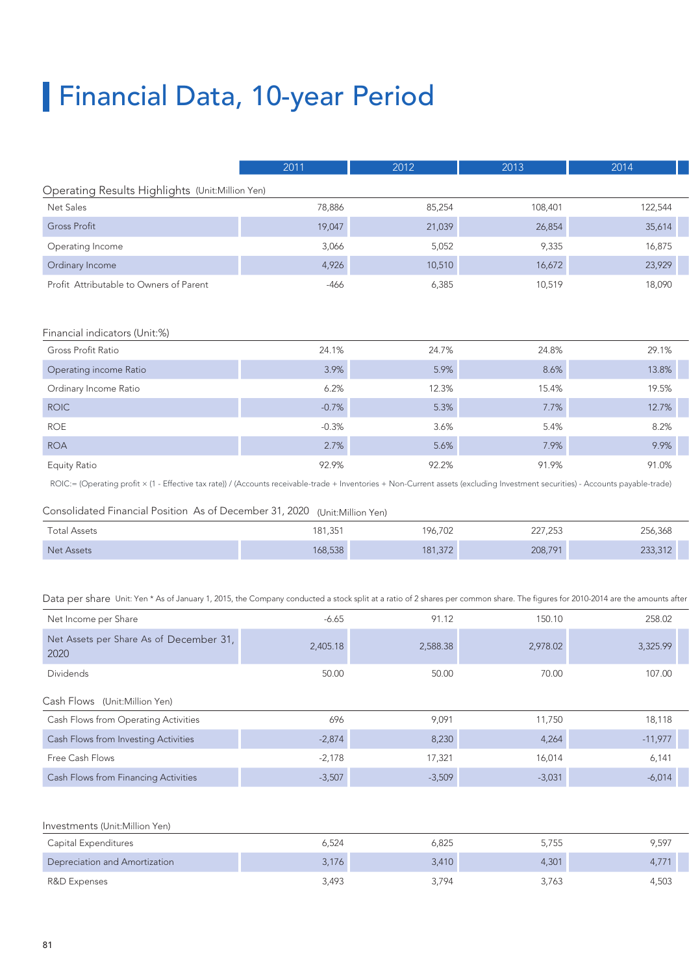# Financial Data, 10-year Period

|                                                                                                                                                                                  | 2011    | 2012    | 2013    | 2014    |
|----------------------------------------------------------------------------------------------------------------------------------------------------------------------------------|---------|---------|---------|---------|
| Operating Results Highlights (Unit:Million Yen)                                                                                                                                  |         |         |         |         |
| Net Sales                                                                                                                                                                        | 78,886  | 85,254  | 108,401 | 122,544 |
| <b>Gross Profit</b>                                                                                                                                                              | 19,047  | 21,039  | 26,854  | 35,614  |
| Operating Income                                                                                                                                                                 | 3,066   | 5,052   | 9,335   | 16,875  |
| Ordinary Income                                                                                                                                                                  | 4,926   | 10,510  | 16,672  | 23,929  |
| Profit Attributable to Owners of Parent                                                                                                                                          | $-466$  | 6,385   | 10,519  | 18,090  |
|                                                                                                                                                                                  |         |         |         |         |
| Financial indicators (Unit:%)                                                                                                                                                    |         |         |         |         |
| Gross Profit Ratio                                                                                                                                                               | 24.1%   | 24.7%   | 24.8%   | 29.1%   |
| Operating income Ratio                                                                                                                                                           | 3.9%    | 5.9%    | 8.6%    | 13.8%   |
| Ordinary Income Ratio                                                                                                                                                            | 6.2%    | 12.3%   | 15.4%   | 19.5%   |
| <b>ROIC</b>                                                                                                                                                                      | $-0.7%$ | 5.3%    | 7.7%    | 12.7%   |
| ROE                                                                                                                                                                              | $-0.3%$ | 3.6%    | 5.4%    | 8.2%    |
| <b>ROA</b>                                                                                                                                                                       | 2.7%    | 5.6%    | 7.9%    | 9.9%    |
| <b>Equity Ratio</b>                                                                                                                                                              | 92.9%   | 92.2%   | 91.9%   | 91.0%   |
| ROIC:= (Operating profit × (1 - Effective tax rate)) / (Accounts receivable-trade + Inventories + Non-Current assets (excluding Investment securities) - Accounts payable-trade) |         |         |         |         |
|                                                                                                                                                                                  |         |         |         |         |
| Consolidated Financial Position As of December 31, 2020 (Unit:Million Yen)                                                                                                       |         |         |         |         |
| <b>Total Assets</b>                                                                                                                                                              | 181,351 | 196,702 | 227,253 | 256,368 |
| Net Assets                                                                                                                                                                       | 168,538 | 181,372 | 208,791 | 233,312 |
|                                                                                                                                                                                  |         |         |         |         |

Data per share Unit: Yen \* As of January 1, 2015, the Company conducted a stock split at a ratio of 2 shares per common share. The figures for 2010-2014 are the amounts after

| Net Income per Share                            | $-6.65$  | 91.12    | 150.10   | 258.02    |
|-------------------------------------------------|----------|----------|----------|-----------|
| Net Assets per Share As of December 31,<br>2020 | 2,405.18 | 2,588.38 | 2,978.02 | 3,325.99  |
| Dividends                                       | 50.00    | 50.00    | 70.00    | 107.00    |
| Cash Flows (Unit:Million Yen)                   |          |          |          |           |
| Cash Flows from Operating Activities            | 696      | 9,091    | 11,750   | 18,118    |
| Cash Flows from Investing Activities            | $-2,874$ | 8,230    | 4,264    | $-11,977$ |
| Free Cash Flows                                 | $-2,178$ | 17,321   | 16,014   | 6,141     |
| Cash Flows from Financing Activities            | $-3,507$ | $-3,509$ | $-3,031$ | $-6,014$  |

#### Investments (Unit:Million Yen)

| Capital Expenditures          | ∠כ,כ          | O <sub>2</sub><br>CZÖ, | 5755<br>J,7 JJ | 9,597 |
|-------------------------------|---------------|------------------------|----------------|-------|
| Depreciation and Amortization | 3,176         | 3,410                  | 1,301          | 4.771 |
| R&D Expenses                  | 100<br>47.ر د | 3,794                  | 27/2<br>3,763  | 4,503 |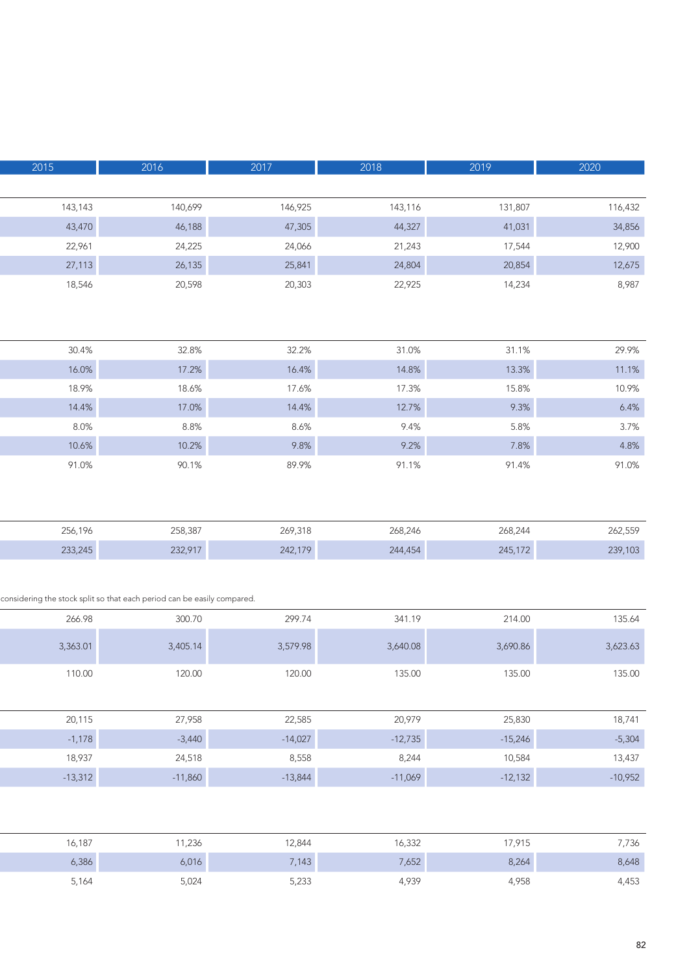| 2020     | 2019     | 2018     | $\overline{2017}$ | 2016                                                                    | 2015     |
|----------|----------|----------|-------------------|-------------------------------------------------------------------------|----------|
|          |          |          |                   |                                                                         |          |
| 116,432  | 131,807  | 143,116  | 146,925           | 140,699                                                                 | 143,143  |
| 34,856   | 41,031   | 44,327   | 47,305            | 46,188                                                                  | 43,470   |
| 12,900   | 17,544   | 21,243   | 24,066            | 24,225                                                                  | 22,961   |
| 12,675   | 20,854   | 24,804   | 25,841            | 26,135                                                                  | 27,113   |
| 8,987    | 14,234   | 22,925   | 20,303            | 20,598                                                                  | 18,546   |
|          |          |          |                   |                                                                         |          |
|          |          |          |                   |                                                                         |          |
| 29.9%    | 31.1%    | 31.0%    | 32.2%             | 32.8%                                                                   | 30.4%    |
| 11.1%    | 13.3%    | 14.8%    | 16.4%             | 17.2%                                                                   | 16.0%    |
| 10.9%    | 15.8%    | 17.3%    | 17.6%             | 18.6%                                                                   | 18.9%    |
| 6.4%     | 9.3%     | 12.7%    | 14.4%             | 17.0%                                                                   | 14.4%    |
| 3.7%     | 5.8%     | 9.4%     | 8.6%              | 8.8%                                                                    | 8.0%     |
| 4.8%     | 7.8%     | 9.2%     | 9.8%              | 10.2%                                                                   | 10.6%    |
| 91.0%    | 91.4%    | 91.1%    | 89.9%             | 90.1%                                                                   | 91.0%    |
|          |          |          |                   |                                                                         |          |
|          |          |          |                   |                                                                         |          |
| 262,559  | 268,244  | 268,246  | 269,318           | 258,387                                                                 | 256,196  |
| 239,103  | 245,172  | 244,454  | 242,179           | 232,917                                                                 | 233,245  |
|          |          |          |                   |                                                                         |          |
|          |          |          |                   |                                                                         |          |
|          |          |          |                   | considering the stock split so that each period can be easily compared. |          |
| 135.64   | 214.00   | 341.19   | 299.74            | 300.70                                                                  | 266.98   |
| 3,623.63 | 3,690.86 | 3,640.08 | 3,579.98          | 3,405.14                                                                | 3,363.01 |
|          |          |          |                   |                                                                         |          |
| 135.00   | 135.00   | 135.00   | 120.00            | 120.00                                                                  | 110.00   |
|          |          |          |                   |                                                                         |          |

| 20,115    | 27,958    | 22,585    | 20,979    | 25,830    | 18,741    |
|-----------|-----------|-----------|-----------|-----------|-----------|
| $-1,178$  | $-3,440$  | $-14,027$ | $-12,735$ | $-15,246$ | $-5,304$  |
| 18,937    | 24,518    | 8,558     | 8,244     | 10,584    | 13,437    |
| $-13,312$ | $-11,860$ | $-13,844$ | $-11,069$ | $-12,132$ | $-10,952$ |

| 16,187 |  |
|--------|--|
| 6,386  |  |
| 5,164  |  |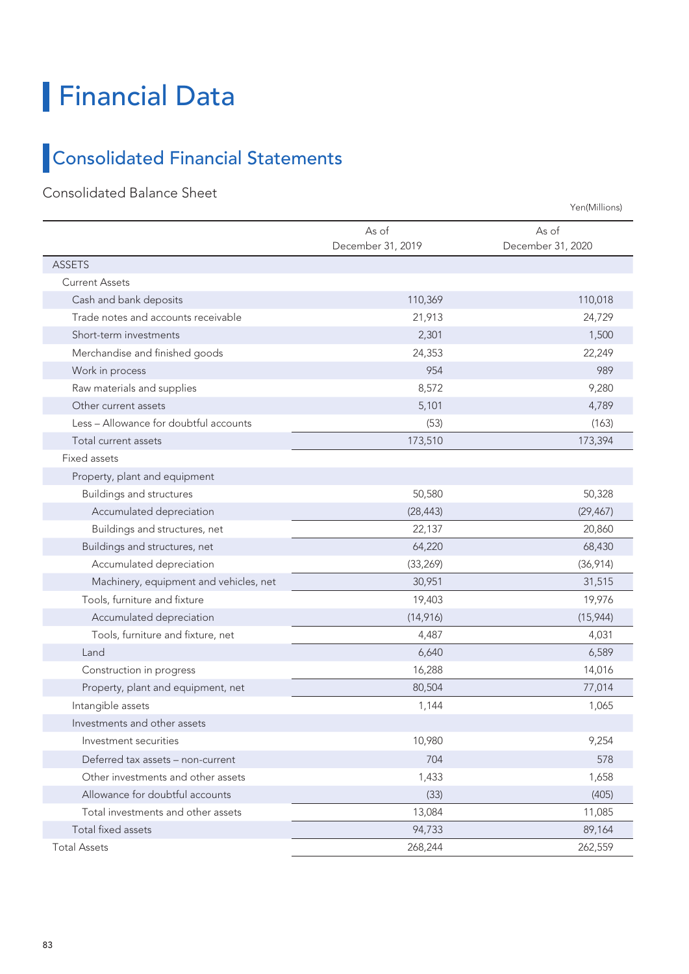### Financial Data

### Consolidated Financial Statements

#### Consolidated Balance Sheet

As of December 31, 2019 As of December 31, 2020 ASSETS Current Assets Cash and bank deposits 110,369 110,018 Trade notes and accounts receivable 21,913 24,729 Short-term investments 1,500 Merchandise and finished goods 24,353 22,249 Work in process 954 989 Raw materials and supplies and supplies and supplies and supplies and supplies are set of  $\frac{8,572}{2}$  and  $\frac{9,280}{2}$ Other current assets **5,101** 4,789 Less – Allowance for doubtful accounts (53) (163) Total current assets 173,510 173,394 Fixed assets Property, plant and equipment Buildings and structures 50,580 50,328 Accumulated depreciation (28,443) (28,443) (28,443) (28,443) Buildings and structures, net 22,137 20,860 Buildings and structures, net 64,220 68,430 68,430 Accumulated depreciation (33,269) (33,269) (36,914) Machinery, equipment and vehicles, net 30,951 31,515 31,515 Tools, furniture and fixture 19,976 19,976 19,976 19,976 19,976 19,976 19,976 19,976 19,976 19,976 19,976 19,976 Accumulated depreciation (15,944) (15,944) Tools, furniture and fixture, net 4,487 4,031 Land 6,640 6,589 Construction in progress and the construction in progress and the construction in progress and the construction of  $16,288$ Property, plant and equipment, net 80,504 80,504 77,014 Intangible assets 1,065 Investments and other assets Investment securities 10,980 9,254 Deferred tax assets – non-current 704 578 Other investments and other assets 1,658 1,658 1,658 1,658 1,658 1,658 1,658 1,658 1,658 1,658 1,658 1,658 1,658 Allowance for doubtful accounts (33) (405) Total investments and other assets 13,084 11,085 Total fixed assets 94,733 89,164 Total Assets 268,244 262,559 Yen(Millions)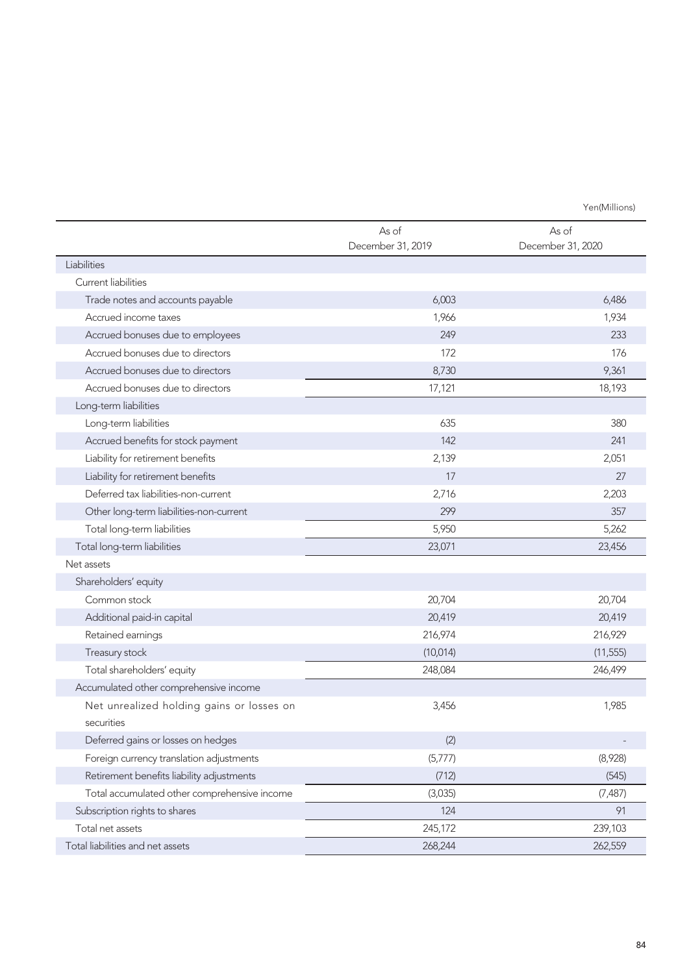Yen(Millions)

|                                              | As of<br>December 31, 2019 | As of<br>December 31, 2020 |
|----------------------------------------------|----------------------------|----------------------------|
| Liabilities                                  |                            |                            |
| Current liabilities                          |                            |                            |
| Trade notes and accounts payable             | 6,003                      | 6,486                      |
| Accrued income taxes                         | 1,966                      | 1,934                      |
| Accrued bonuses due to employees             | 249                        | 233                        |
| Accrued bonuses due to directors             | 172                        | 176                        |
| Accrued bonuses due to directors             | 8,730                      | 9,361                      |
| Accrued bonuses due to directors             | 17,121                     | 18,193                     |
| Long-term liabilities                        |                            |                            |
| Long-term liabilities                        | 635                        | 380                        |
| Accrued benefits for stock payment           | 142                        | 241                        |
| Liability for retirement benefits            | 2,139                      | 2,051                      |
| Liability for retirement benefits            | 17                         | 27                         |
| Deferred tax liabilities-non-current         | 2,716                      | 2,203                      |
| Other long-term liabilities-non-current      | 299                        | 357                        |
| Total long-term liabilities                  | 5,950                      | 5,262                      |
| Total long-term liabilities                  | 23,071                     | 23,456                     |
| Net assets                                   |                            |                            |
| Shareholders' equity                         |                            |                            |
| Common stock                                 | 20,704                     | 20,704                     |
| Additional paid-in capital                   | 20,419                     | 20,419                     |
| Retained earnings                            | 216,974                    | 216,929                    |
| Treasury stock                               | (10, 014)                  | (11, 555)                  |
| Total shareholders' equity                   | 248,084                    | 246,499                    |
| Accumulated other comprehensive income       |                            |                            |
| Net unrealized holding gains or losses on    | 3,456                      | 1,985                      |
| securities                                   |                            |                            |
| Deferred gains or losses on hedges           | (2)                        |                            |
| Foreign currency translation adjustments     | (5,777)                    | (8,928)                    |
| Retirement benefits liability adjustments    | (712)                      | (545)                      |
| Total accumulated other comprehensive income | (3,035)                    | (7, 487)                   |
| Subscription rights to shares                | 124                        | 91                         |
| Total net assets                             | 245,172                    | 239,103                    |
| Total liabilities and net assets             | 268,244                    | 262,559                    |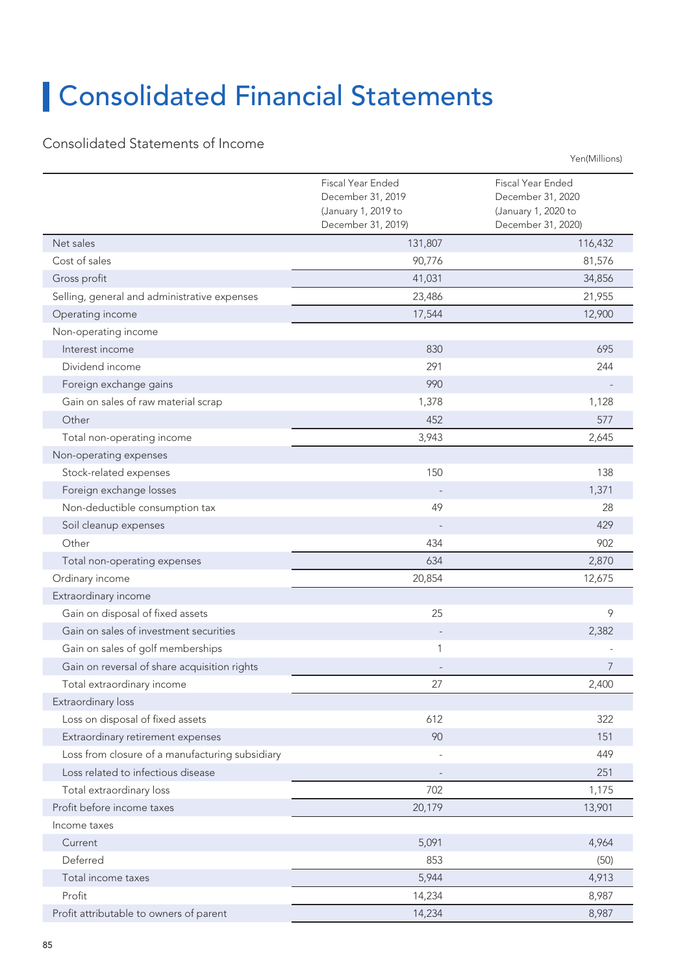## Consolidated Financial Statements

#### Consolidated Statements of Income

|                                                 | Fiscal Year Ended<br>December 31, 2019<br>(January 1, 2019 to<br>December 31, 2019) | Fiscal Year Ended<br>December 31, 2020<br>(January 1, 2020 to<br>December 31, 2020) |
|-------------------------------------------------|-------------------------------------------------------------------------------------|-------------------------------------------------------------------------------------|
| Net sales                                       | 131,807                                                                             | 116,432                                                                             |
| Cost of sales                                   | 90,776                                                                              | 81,576                                                                              |
| Gross profit                                    | 41,031                                                                              | 34,856                                                                              |
| Selling, general and administrative expenses    | 23,486                                                                              | 21,955                                                                              |
| Operating income                                | 17,544                                                                              | 12,900                                                                              |
| Non-operating income                            |                                                                                     |                                                                                     |
| Interest income                                 | 830                                                                                 | 695                                                                                 |
| Dividend income                                 | 291                                                                                 | 244                                                                                 |
| Foreign exchange gains                          | 990                                                                                 |                                                                                     |
| Gain on sales of raw material scrap             | 1,378                                                                               | 1,128                                                                               |
| Other                                           | 452                                                                                 | 577                                                                                 |
| Total non-operating income                      | 3,943                                                                               | 2,645                                                                               |
| Non-operating expenses                          |                                                                                     |                                                                                     |
| Stock-related expenses                          | 150                                                                                 | 138                                                                                 |
| Foreign exchange losses                         |                                                                                     | 1,371                                                                               |
| Non-deductible consumption tax                  | 49                                                                                  | 28                                                                                  |
| Soil cleanup expenses                           |                                                                                     | 429                                                                                 |
| Other                                           | 434                                                                                 | 902                                                                                 |
| Total non-operating expenses                    | 634                                                                                 | 2,870                                                                               |
| Ordinary income                                 | 20,854                                                                              | 12,675                                                                              |
| Extraordinary income                            |                                                                                     |                                                                                     |
| Gain on disposal of fixed assets                | 25                                                                                  | 9                                                                                   |
| Gain on sales of investment securities          |                                                                                     | 2,382                                                                               |
| Gain on sales of golf memberships               | 1                                                                                   |                                                                                     |
| Gain on reversal of share acquisition rights    |                                                                                     | 7                                                                                   |
| Total extraordinary income                      | 27                                                                                  | 2,400                                                                               |
| Extraordinary loss                              |                                                                                     |                                                                                     |
| Loss on disposal of fixed assets                | 612                                                                                 | 322                                                                                 |
| Extraordinary retirement expenses               | 90                                                                                  | 151                                                                                 |
| Loss from closure of a manufacturing subsidiary |                                                                                     | 449                                                                                 |
| Loss related to infectious disease              |                                                                                     | 251                                                                                 |
| Total extraordinary loss                        | 702                                                                                 | 1,175                                                                               |
| Profit before income taxes                      | 20,179                                                                              | 13,901                                                                              |
| Income taxes                                    |                                                                                     |                                                                                     |
| Current                                         | 5,091                                                                               | 4,964                                                                               |
| Deferred                                        | 853                                                                                 | (50)                                                                                |
| Total income taxes                              | 5,944                                                                               | 4,913                                                                               |
| Profit                                          | 14,234                                                                              | 8,987                                                                               |
| Profit attributable to owners of parent         | 14,234                                                                              | 8,987                                                                               |

Yen(Millions)